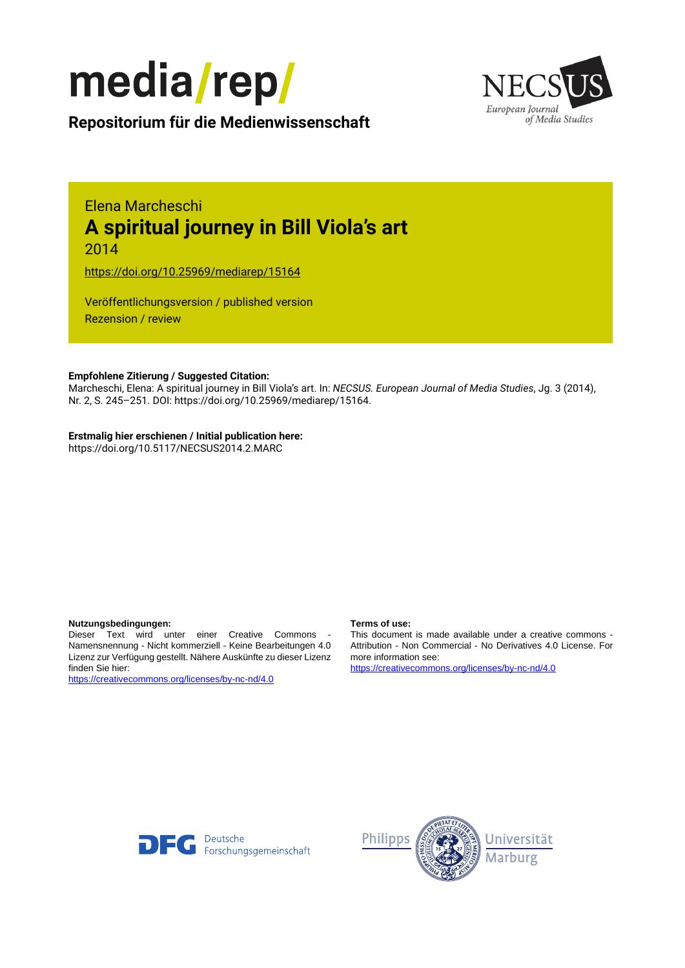



**Repositorium für die [Medienwissenschaft](https://mediarep.org)**

# Elena Marcheschi **A spiritual journey in Bill Viola's art**

2014

<https://doi.org/10.25969/mediarep/15164>

Veröffentlichungsversion / published version Rezension / review

#### **Empfohlene Zitierung / Suggested Citation:**

Marcheschi, Elena: A spiritual journey in Bill Viola's art. In: *NECSUS. European Journal of Media Studies*, Jg. 3 (2014), Nr. 2, S. 245–251. DOI: https://doi.org/10.25969/mediarep/15164.

#### **Erstmalig hier erschienen / Initial publication here:**

https://doi.org/10.5117/NECSUS2014.2.MARC

#### **Nutzungsbedingungen: Terms of use:**

Dieser Text wird unter einer Creative Commons - Namensnennung - Nicht kommerziell - Keine Bearbeitungen 4.0 Lizenz zur Verfügung gestellt. Nähere Auskünfte zu dieser Lizenz finden Sie hier:

<https://creativecommons.org/licenses/by-nc-nd/4.0>

This document is made available under a creative commons - Attribution - Non Commercial - No Derivatives 4.0 License. For more information see:

<https://creativecommons.org/licenses/by-nc-nd/4.0>



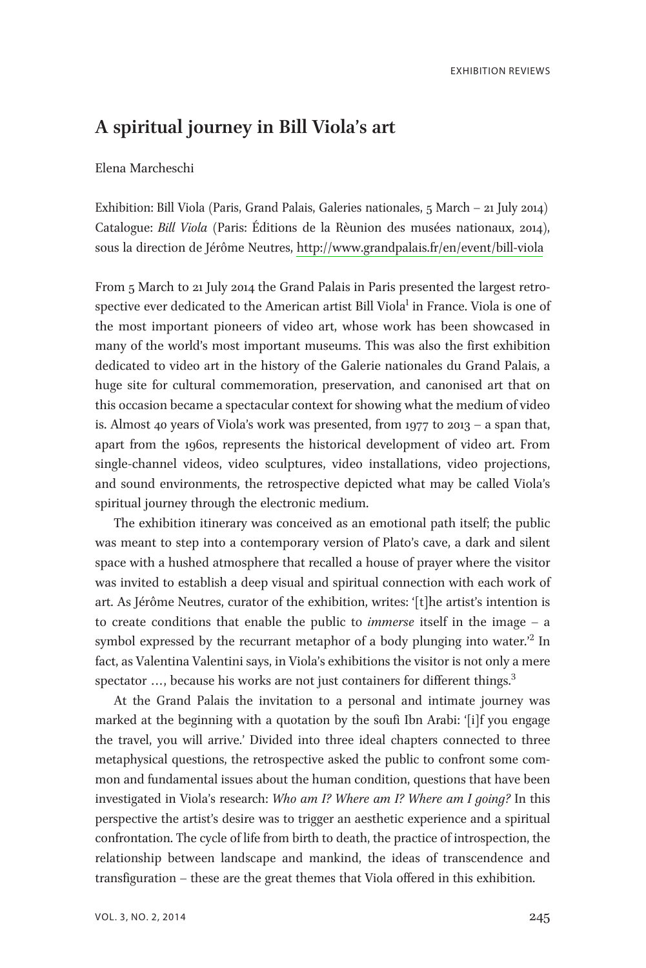# A spiritual journey in Bill Viola's art

#### Elena Marcheschi

Exhibition: Bill Viola (Paris, Grand Palais, Galeries nationales, 5 March – 21 July 2014) Catalogue: Bill Viola (Paris: Éditions de la Rèunion des musées nationaux, 2014), sous la direction de Jérôme Neutres,<http://www.grandpalais.fr/en/event/bill-viola>

From 5 March to 21 July 2014 the Grand Palais in Paris presented the largest retrospective ever dedicated to the American artist Bill Viola $^1$  in France. Viola is one of the most important pioneers of video art, whose work has been showcased in many of the world's most important museums. This was also the first exhibition dedicated to video art in the history of the Galerie nationales du Grand Palais, a huge site for cultural commemoration, preservation, and canonised art that on this occasion became a spectacular context for showing what the medium of video is. Almost 40 years of Viola's work was presented, from 1977 to 2013 – a span that, apart from the 1960s, represents the historical development of video art. From single-channel videos, video sculptures, video installations, video projections, and sound environments, the retrospective depicted what may be called Viola's spiritual journey through the electronic medium.

The exhibition itinerary was conceived as an emotional path itself; the public was meant to step into a contemporary version of Plato's cave, a dark and silent space with a hushed atmosphere that recalled a house of prayer where the visitor was invited to establish a deep visual and spiritual connection with each work of art. As Jérôme Neutres, curator of the exhibition, writes: '[t]he artist's intention is to create conditions that enable the public to immerse itself in the image – a symbol expressed by the recurrant metaphor of a body plunging into water.<sup>22</sup> In fact, as Valentina Valentini says, in Viola's exhibitions the visitor is not only a mere spectator  $\ldots$ , because his works are not just containers for different things.<sup>3</sup>

At the Grand Palais the invitation to a personal and intimate journey was marked at the beginning with a quotation by the soufi Ibn Arabi: '[i]f you engage the travel, you will arrive.' Divided into three ideal chapters connected to three metaphysical questions, the retrospective asked the public to confront some common and fundamental issues about the human condition, questions that have been investigated in Viola's research: Who am I? Where am I? Where am I going? In this perspective the artist's desire was to trigger an aesthetic experience and a spiritual confrontation. The cycle of life from birth to death, the practice of introspection, the relationship between landscape and mankind, the ideas of transcendence and transfiguration – these are the great themes that Viola offered in this exhibition.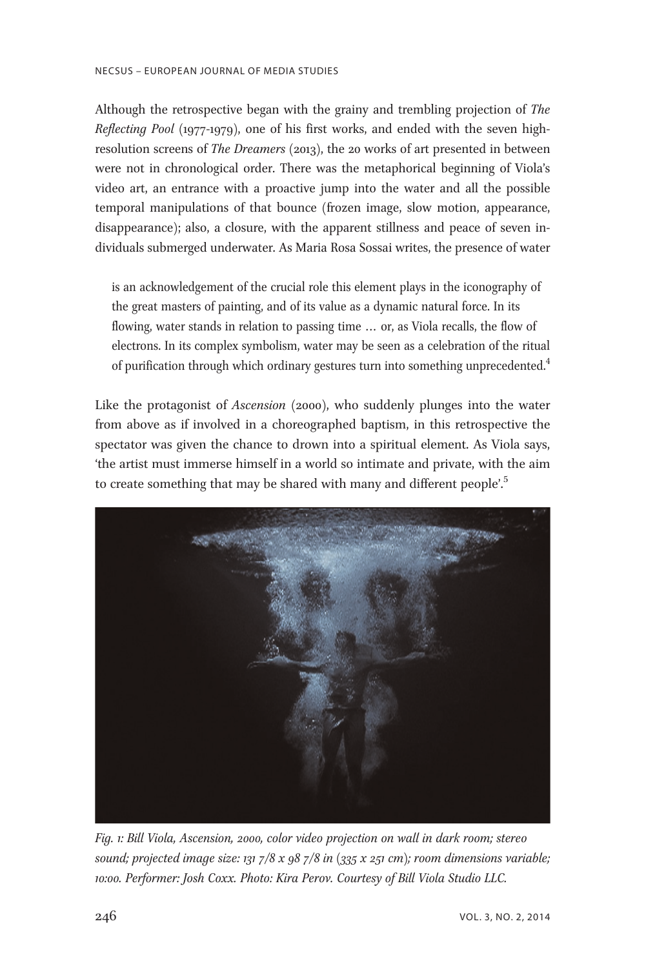Although the retrospective began with the grainy and trembling projection of The Reflecting Pool (1977-1979), one of his first works, and ended with the seven highresolution screens of The Dreamers (2013), the 20 works of art presented in between were not in chronological order. There was the metaphorical beginning of Viola's video art, an entrance with a proactive jump into the water and all the possible temporal manipulations of that bounce (frozen image, slow motion, appearance, disappearance); also, a closure, with the apparent stillness and peace of seven individuals submerged underwater. As Maria Rosa Sossai writes, the presence of water

is an acknowledgement of the crucial role this element plays in the iconography of the great masters of painting, and of its value as a dynamic natural force. In its flowing, water stands in relation to passing time ... or, as Viola recalls, the flow of electrons. In its complex symbolism, water may be seen as a celebration of the ritual of purification through which ordinary gestures turn into something unprecedented.<sup>4</sup>

Like the protagonist of Ascension (2000), who suddenly plunges into the water from above as if involved in a choreographed baptism, in this retrospective the spectator was given the chance to drown into a spiritual element. As Viola says, 'the artist must immerse himself in a world so intimate and private, with the aim to create something that may be shared with many and different people'.<sup>5</sup>



Fig. 1: Bill Viola, Ascension, 2000, color video projection on wall in dark room; stereo sound; projected image size: 131 7/8 x 98 7/8 in  $(335 \times 251 \text{ cm})$ ; room dimensions variable; 10:00. Performer: Josh Coxx. Photo: Kira Perov. Courtesy of Bill Viola Studio LLC.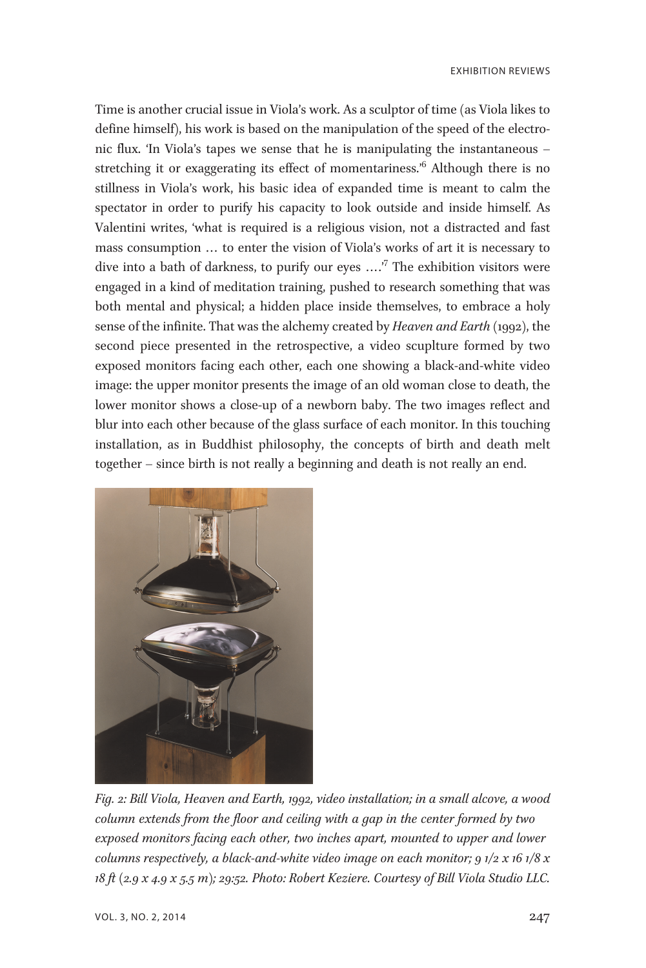Time is another crucial issue in Viola's work. As a sculptor of time (as Viola likes to define himself), his work is based on the manipulation of the speed of the electronic flux. 'In Viola's tapes we sense that he is manipulating the instantaneous – stretching it or exaggerating its effect of momentariness.<sup>6</sup> Although there is no stillness in Viola's work, his basic idea of expanded time is meant to calm the spectator in order to purify his capacity to look outside and inside himself. As Valentini writes, 'what is required is a religious vision, not a distracted and fast mass consumption ... to enter the vision of Viola's works of art it is necessary to dive into a bath of darkness, to purify our eyes ....<sup>7</sup> The exhibition visitors were engaged in a kind of meditation training, pushed to research something that was both mental and physical; a hidden place inside themselves, to embrace a holy sense of the infinite. That was the alchemy created by *Heaven and Earth* (1992), the second piece presented in the retrospective, a video scuplture formed by two exposed monitors facing each other, each one showing a black-and-white video image: the upper monitor presents the image of an old woman close to death, the lower monitor shows a close-up of a newborn baby. The two images reflect and blur into each other because of the glass surface of each monitor. In this touching installation, as in Buddhist philosophy, the concepts of birth and death melt together – since birth is not really a beginning and death is not really an end.



Fig. 2: Bill Viola, Heaven and Earth, 1992, video installation; in a small alcove, a wood column extends from the floor and ceiling with a gap in the center formed by two exposed monitors facing each other, two inches apart, mounted to upper and lower columns respectively, a black-and-white video image on each monitor;  $91/2 \times 161/8 \times$ 18 ft (2.9 x 4.9 x 5.5 m); 29:52. Photo: Robert Keziere. Courtesy of Bill Viola Studio LLC.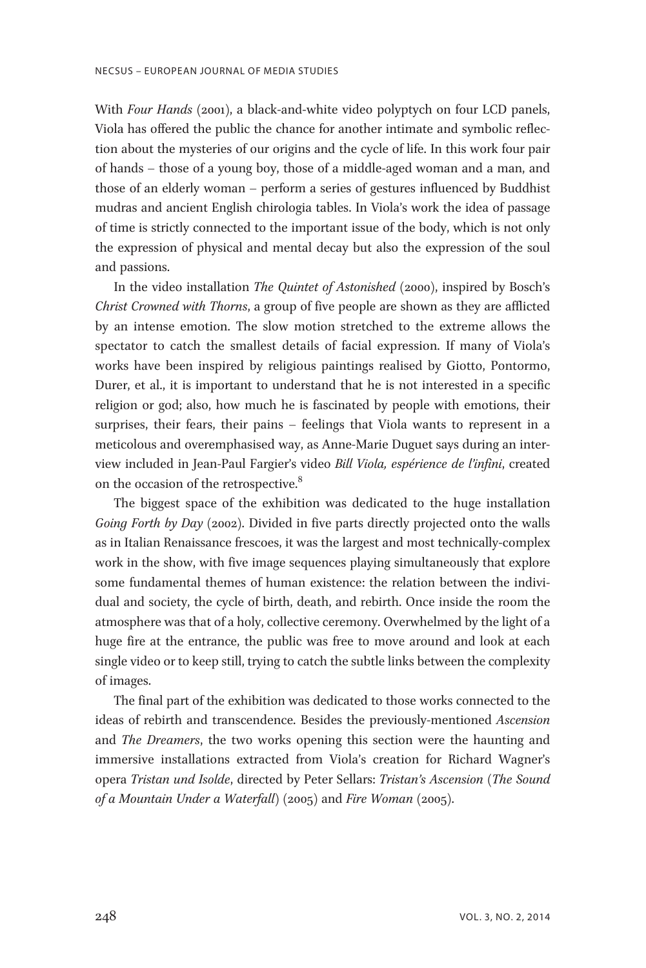With Four Hands (2001), a black-and-white video polyptych on four LCD panels, Viola has offered the public the chance for another intimate and symbolic reflection about the mysteries of our origins and the cycle of life. In this work four pair of hands – those of a young boy, those of a middle-aged woman and a man, and those of an elderly woman – perform a series of gestures influenced by Buddhist mudras and ancient English chirologia tables. In Viola's work the idea of passage of time is strictly connected to the important issue of the body, which is not only the expression of physical and mental decay but also the expression of the soul and passions.

In the video installation The Quintet of Astonished (2000), inspired by Bosch's Christ Crowned with Thorns, a group of five people are shown as they are afflicted by an intense emotion. The slow motion stretched to the extreme allows the spectator to catch the smallest details of facial expression. If many of Viola's works have been inspired by religious paintings realised by Giotto, Pontormo, Durer, et al., it is important to understand that he is not interested in a specific religion or god; also, how much he is fascinated by people with emotions, their surprises, their fears, their pains – feelings that Viola wants to represent in a meticolous and overemphasised way, as Anne-Marie Duguet says during an interview included in Jean-Paul Fargier's video Bill Viola, espérience de l'infini, created on the occasion of the retrospective.<sup>8</sup>

The biggest space of the exhibition was dedicated to the huge installation Going Forth by Day (2002). Divided in five parts directly projected onto the walls as in Italian Renaissance frescoes, it was the largest and most technically-complex work in the show, with five image sequences playing simultaneously that explore some fundamental themes of human existence: the relation between the individual and society, the cycle of birth, death, and rebirth. Once inside the room the atmosphere was that of a holy, collective ceremony. Overwhelmed by the light of a huge fire at the entrance, the public was free to move around and look at each single video or to keep still, trying to catch the subtle links between the complexity of images.

The final part of the exhibition was dedicated to those works connected to the ideas of rebirth and transcendence. Besides the previously-mentioned Ascension and The Dreamers, the two works opening this section were the haunting and immersive installations extracted from Viola's creation for Richard Wagner's opera Tristan und Isolde, directed by Peter Sellars: Tristan's Ascension (The Sound of a Mountain Under a Waterfall) (2005) and Fire Woman (2005).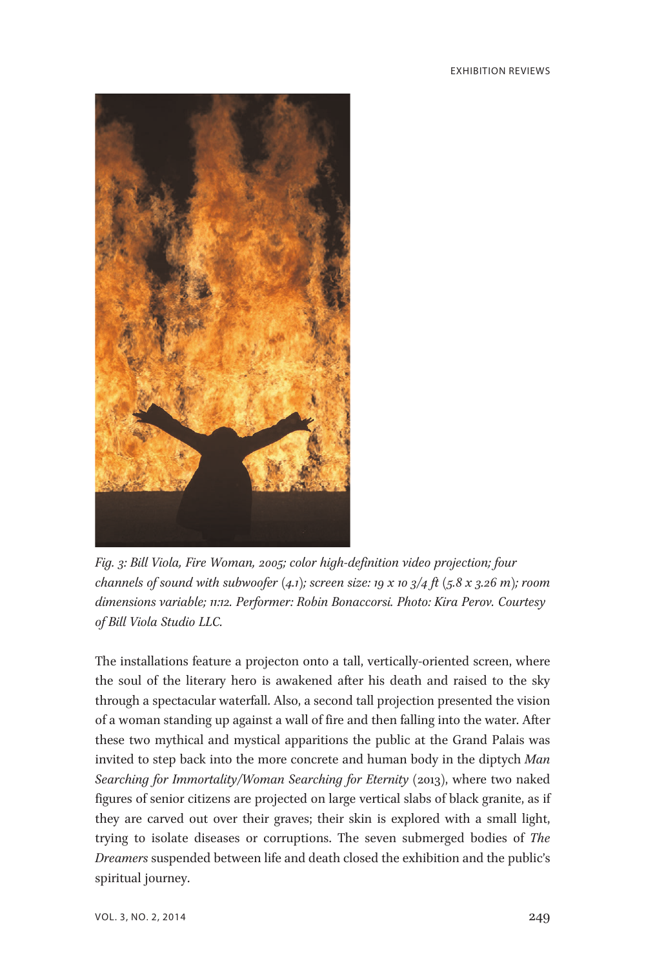

Fig. 3: Bill Viola, Fire Woman, 2005; color high-definition video projection; four channels of sound with subwoofer  $(4.1)$ ; screen size: 19 x 10  $3/4$  ft  $(5.8 \times 3.26 \text{ m})$ ; room dimensions variable; 11:12. Performer: Robin Bonaccorsi. Photo: Kira Perov. Courtesy of Bill Viola Studio LLC.

The installations feature a projecton onto a tall, vertically-oriented screen, where the soul of the literary hero is awakened after his death and raised to the sky through a spectacular waterfall. Also, a second tall projection presented the vision of a woman standing up against a wall of fire and then falling into the water. After these two mythical and mystical apparitions the public at the Grand Palais was invited to step back into the more concrete and human body in the diptych Man Searching for Immortality/Woman Searching for Eternity (2013), where two naked figures of senior citizens are projected on large vertical slabs of black granite, as if they are carved out over their graves; their skin is explored with a small light, trying to isolate diseases or corruptions. The seven submerged bodies of The Dreamers suspended between life and death closed the exhibition and the public's spiritual journey.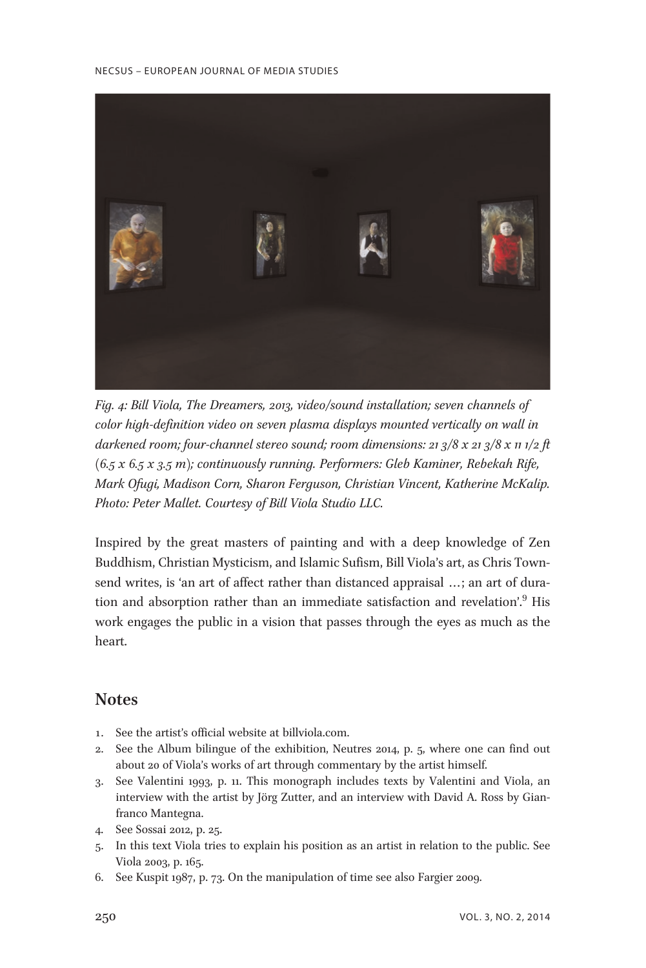

Fig. 4: Bill Viola, The Dreamers, 2013, video/sound installation; seven channels of color high-definition video on seven plasma displays mounted vertically on wall in darkened room; four-channel stereo sound; room dimensions: 21 3/8 x 21 3/8 x 11 1/2 ft  $(6.5 x 6.5 x 3.5 m)$ ; continuously running. Performers: Gleb Kaminer, Rebekah Rife, Mark Ofugi, Madison Corn, Sharon Ferguson, Christian Vincent, Katherine McKalip. Photo: Peter Mallet. Courtesy of Bill Viola Studio LLC.

Inspired by the great masters of painting and with a deep knowledge of Zen Buddhism, Christian Mysticism, and Islamic Sufism, Bill Viola's art, as Chris Townsend writes, is 'an art of affect rather than distanced appraisal ...; an art of duration and absorption rather than an immediate satisfaction and revelation'.<sup>9</sup> His work engages the public in a vision that passes through the eyes as much as the heart.

## **Notes**

- 1. See the artist's official website at billviola.com.
- 2. See the Album bilingue of the exhibition, Neutres 2014, p. 5, where one can find out about 20 of Viola's works of art through commentary by the artist himself.
- 3. See Valentini 1993, p. 11. This monograph includes texts by Valentini and Viola, an interview with the artist by Jörg Zutter, and an interview with David A. Ross by Gianfranco Mantegna.
- 4. See Sossai 2012, p. 25.
- 5. In this text Viola tries to explain his position as an artist in relation to the public. See Viola 2003, p. 165.
- 6. See Kuspit 1987, p. 73. On the manipulation of time see also Fargier 2009.